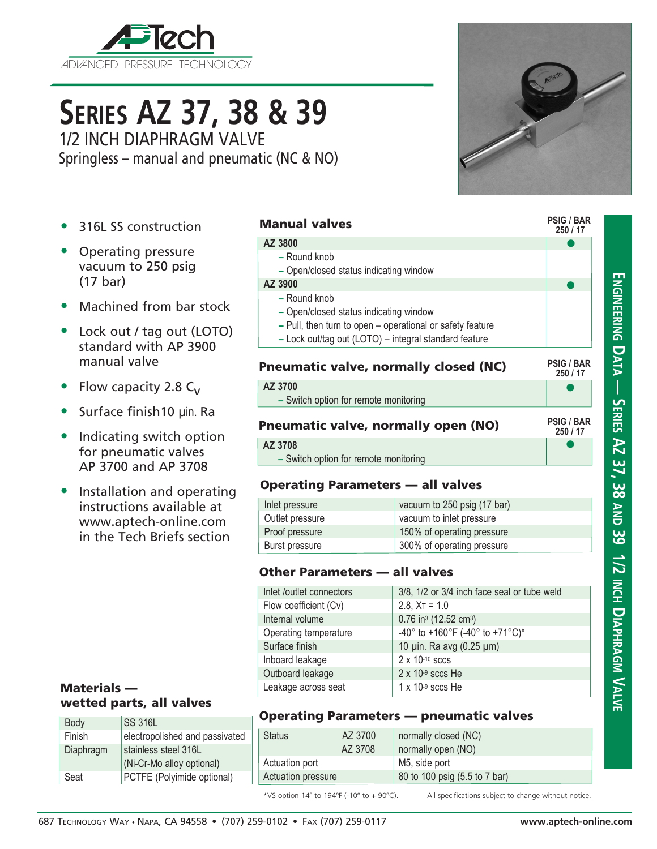

# **Series AZ 37, 38 & 39**

1/2 INCH DIAPHRAGM VALVE Springless – manual and pneumatic (NC & NO)

**PSIG / BAR**

- 316L SS construction
- Operating pressure vacuum to 250 psig (17 bar)
- Machined from bar stock
- Lock out / tag out (LOTO) standard with AP 3900 manual valve
- Flow capacity 2.8  $C_V$
- Surface finish 10 µin. Ra
- Indicating switch option for pneumatic valves AP 3700 and AP 3708
- Installation and operating instructions available at www.aptech-online.com in the Tech Briefs section

### Materials wetted parts, all valves

| Body      | <b>SS 316L</b>                 |  |
|-----------|--------------------------------|--|
| Finish    | electropolished and passivated |  |
| Diaphragm | stainless steel 316L           |  |
|           | (Ni-Cr-Mo alloy optional)      |  |
| Seat      | PCTFE (Polyimide optional)     |  |

#### Manual valves

#### **250 / 17**  $\bullet$ **250 / 17**  $\bullet$ **250 / 17**  $\bullet$  $\bullet$ **AZ 3800 –** Round knob **–** Open/closed status indicating window **AZ 3900 –** Round knob **–** Open/closed status indicating window **–** Pull, then turn to open – operational or safety feature **–** Lock out/tag out (LOTO) – integral standard feature **PSIG / BAR PSIG / BAR** Pneumatic valve, normally closed (NC) **AZ 3700 –** Switch option for remote monitoring Pneumatic valve, normally open (NO) **AZ 3708 –** Switch option for remote monitoring

#### Operating Parameters — all valves

| Inlet pressure  | vacuum to 250 psig (17 bar) |
|-----------------|-----------------------------|
| Outlet pressure | vacuum to inlet pressure    |
| Proof pressure  | 150% of operating pressure  |
| Burst pressure  | 300% of operating pressure  |

#### Other Parameters — all valves

| Inlet /outlet connectors | 3/8, 1/2 or 3/4 inch face seal or tube weld   |
|--------------------------|-----------------------------------------------|
| Flow coefficient (Cv)    | $2.8$ , $X_T = 1.0$                           |
| Internal volume          | 0.76 in <sup>3</sup> (12.52 cm <sup>3</sup> ) |
| Operating temperature    | -40° to +160°F (-40° to +71°C)*               |
| Surface finish           | 10 pin. Ra avg (0.25 pm)                      |
| Inboard leakage          | $2 \times 10^{-10}$ sccs                      |
| Outboard leakage         | $2 \times 10^{-9}$ sccs He                    |
| Leakage across seat      | $1 \times 10$ <sup>-9</sup> sccs He           |
|                          |                                               |

#### Operating Parameters — pneumatic valves

| AZ 3700<br><b>Status</b> |  | normally closed (NC)          |  |  |
|--------------------------|--|-------------------------------|--|--|
| AZ 3708                  |  | normally open (NO)            |  |  |
| Actuation port           |  | M5, side port                 |  |  |
| Actuation pressure       |  | 80 to 100 psig (5.5 to 7 bar) |  |  |

\*VS option 14º to 194ºF (-10º to + 90ºC). All specifications subject to change without notice.